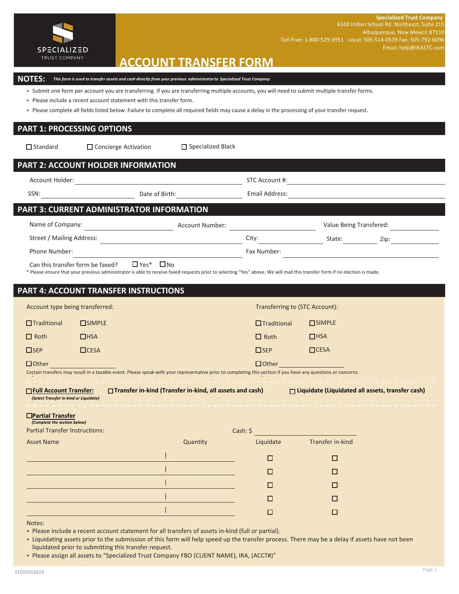

# **ACCOUNT TRANSFER FORM**

#### **NOTES:** *This form is used to transfer assets and cash directly from your previous administratorto Specialized Trust Company.*

- Submit one form per account you are transferring. If you are transferring multiple accounts, you will need to submit multiple transfer forms.
- Please include a recent account statement with this transfer form.
- Please complete all fields listed below. Failure to complete all required fields may cause a delay in the processing of your transfer request.

### **PART 1: PROCESSING OPTIONS**

| $\Box$ Standard                                                         | □ Concierge Activation                                                                                                                                                                                                                  | □ Specialized Black                                        |                    |                                                         |      |  |
|-------------------------------------------------------------------------|-----------------------------------------------------------------------------------------------------------------------------------------------------------------------------------------------------------------------------------------|------------------------------------------------------------|--------------------|---------------------------------------------------------|------|--|
|                                                                         | <b>PART 2: ACCOUNT HOLDER INFORMATION</b>                                                                                                                                                                                               |                                                            |                    |                                                         |      |  |
| Account Holder:                                                         |                                                                                                                                                                                                                                         |                                                            | STC Account #:     |                                                         |      |  |
| SSN:                                                                    | Date of Birth:                                                                                                                                                                                                                          |                                                            | Email Address:     |                                                         |      |  |
|                                                                         | PART 3: CURRENT ADMINISTRATOR INFORMATION                                                                                                                                                                                               |                                                            |                    |                                                         |      |  |
| Name of Company:                                                        |                                                                                                                                                                                                                                         | Account Number:                                            |                    | Value Being Transfered:                                 |      |  |
| Street / Mailing Address:                                               |                                                                                                                                                                                                                                         |                                                            | City:              | State:                                                  | Zip: |  |
|                                                                         | Phone Number:                                                                                                                                                                                                                           |                                                            |                    |                                                         |      |  |
|                                                                         | $\Box$ Yes* $\Box$ No<br>Can this transfer form be faxed?<br>* Please ensure that your previous administrator is able to receive faxed requests prior to selecting "Yes" above. We will mail this transfer form if no election is made. |                                                            |                    |                                                         |      |  |
|                                                                         |                                                                                                                                                                                                                                         |                                                            |                    |                                                         |      |  |
|                                                                         | PART 4: ACCOUNT TRANSFER INSTRUCTIONS                                                                                                                                                                                                   |                                                            |                    |                                                         |      |  |
| Account type being transferred:                                         |                                                                                                                                                                                                                                         |                                                            |                    | Transferring to (STC Account):                          |      |  |
| $\Box$ Traditional                                                      | $\square$ SIMPLE                                                                                                                                                                                                                        |                                                            | $\Box$ Traditional | $\square$ SIMPLE                                        |      |  |
| $\Box$ Roth                                                             | $\Box$ HSA                                                                                                                                                                                                                              |                                                            | $\Box$ Roth        | $\Box$ HSA                                              |      |  |
| $\square$ SEP                                                           | $\Box$ CESA                                                                                                                                                                                                                             |                                                            | $\square$ SEP      | $\Box$ CESA                                             |      |  |
| $\Box$ Other                                                            |                                                                                                                                                                                                                                         |                                                            |                    | $\Box$ Other $\Box$                                     |      |  |
|                                                                         | Certain transfers may result in a taxable event. Please speak with your representative prior to completing this section if you have any questions or concerns.                                                                          |                                                            |                    |                                                         |      |  |
| $\Box$ Full Account Transfer:<br>(Select Transfer in-kind or Liquidate) |                                                                                                                                                                                                                                         | □ Transfer in-kind (Transfer in-kind, all assets and cash) |                    | $\Box$ Liquidate (Liquidated all assets, transfer cash) |      |  |
| $\Box$ Partial Transfer<br>(Complete the section below)                 |                                                                                                                                                                                                                                         |                                                            |                    |                                                         |      |  |
| <b>Partial Transfer Instructions:</b>                                   |                                                                                                                                                                                                                                         |                                                            | Cash: \$           |                                                         |      |  |
| <b>Asset Name</b>                                                       |                                                                                                                                                                                                                                         | Quantity                                                   | Liquidate          | Transfer in-kind                                        |      |  |
|                                                                         |                                                                                                                                                                                                                                         |                                                            | □                  | □                                                       |      |  |
|                                                                         |                                                                                                                                                                                                                                         |                                                            | □                  | □                                                       |      |  |
|                                                                         |                                                                                                                                                                                                                                         |                                                            | п                  | □                                                       |      |  |
|                                                                         |                                                                                                                                                                                                                                         |                                                            | □                  | □                                                       |      |  |
|                                                                         |                                                                                                                                                                                                                                         |                                                            | □                  | □                                                       |      |  |
| Notes:<br>Dlogge include a resemble                                     |                                                                                                                                                                                                                                         | or all transfers of assets in kind (full as nortial)       |                    |                                                         |      |  |

- Please include a recent account statement for all transfers of assets in-kind (full or partial).
- Liquidating assets prior to the submission of this form will help speed up the transfer process. There may be a delay if assets have not been liquidated prior to submitting this transfer request.
- Please assign all assets to "Specialized Trust Company FBO (CLIENT NAME), IRA, (ACCT#)"